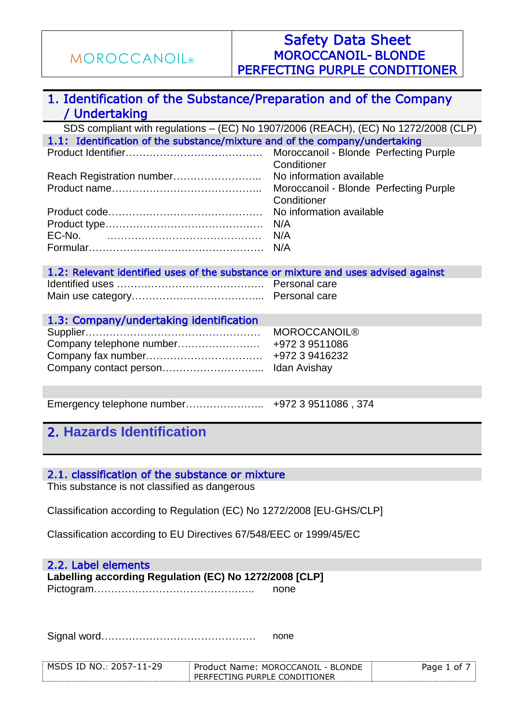### 1. Identification of the Substance/Preparation and of the Company / Undertaking

SDS compliant with regulations – (EC) No 1907/2006 (REACH), (EC) No 1272/2008 (CLP) 1.1: Identification of the substance/mixture and of the company/undertaking Moroccanoil - Blonde Perfecting Purple **Conditioner** Product Identifier…………………………………. Reach Registration number…………………….. No information available Moroccanoil - Blonde Perfecting Purple **Conditioner** Product name…………………………………….. Product code……………………………………… No information available Product type………………………………………. N/A EC-No. ……………………………………… N/A Formular…………………………………………… N/A

| 1.2: Relevant identified uses of the substance or mixture and uses advised against |  |
|------------------------------------------------------------------------------------|--|
|                                                                                    |  |
|                                                                                    |  |

| 1.3: Company/undertaking identification |                     |
|-----------------------------------------|---------------------|
|                                         | <b>MOROCCANOIL®</b> |
|                                         | +972 3 9511086      |
|                                         | +972 3 9416232      |
|                                         |                     |

Emergency telephone number………………….. +972 3 9511086 , 374

### 2. **Hazards Identification**

### 2.1. classification of the substance or mixture

This substance is not classified as dangerous

Classification according to Regulation (EC) No 1272/2008 [EU-GHS/CLP]

Classification according to EU Directives 67/548/EEC or 1999/45/EC

### 2.2. Label elements

**Labelling according Regulation (EC) No 1272/2008 [CLP]** Pictogram……………………………………….. none

Signal word……………………………………… none

| ה ה<br>IΕ<br>NC<br>м<<br>$\overline{\phantom{a}}$<br>,, | IINNT.<br>BL.<br>זוחר<br>MOROCC<br>⊣ר<br>– Pro<br>۱۳<br>Name'<br>$\sim$<br>м | ωt |
|---------------------------------------------------------|------------------------------------------------------------------------------|----|
|                                                         | DF<br>TNG PHRPL<br>ΕI<br>ำN⊺<br>)N⊢k                                         |    |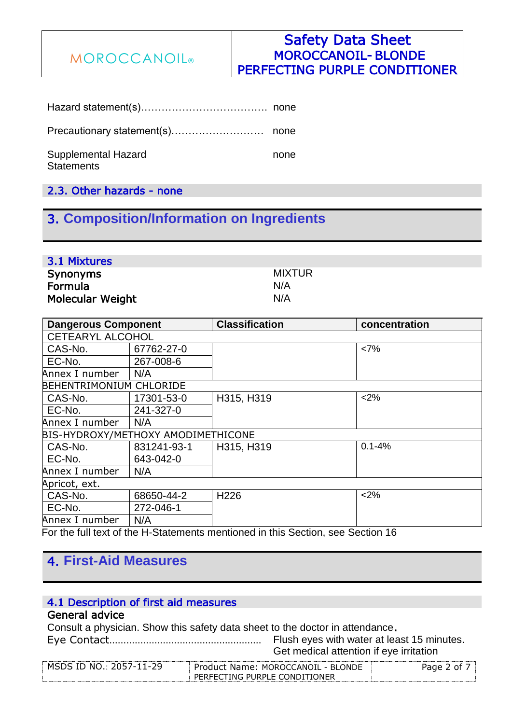### Safety Data Sheet MOROCCANOIL- BLONDE PERFECTING PURPLE CONDITIONER

Hazard statement(s)………………………………. none

Precautionary statement(s)……………………… none

Supplemental Hazard none **Statements** 

2.3. Other hazards - none

# 3. **Composition/Information on Ingredients**

| 3.1 Mixtures            |        |
|-------------------------|--------|
| <b>Synonyms</b>         | MIXTUR |
| Formula                 | N/A    |
| <b>Molecular Weight</b> | N/A    |

| <b>Dangerous Component</b>         |             | <b>Classification</b>                                                                              | concentration |
|------------------------------------|-------------|----------------------------------------------------------------------------------------------------|---------------|
| <b>CETEARYL ALCOHOL</b>            |             |                                                                                                    |               |
| CAS-No.                            | 67762-27-0  |                                                                                                    | <7%           |
| EC-No.                             | 267-008-6   |                                                                                                    |               |
| Annex I number                     | N/A         |                                                                                                    |               |
| <b>BEHENTRIMONIUM CHLORIDE</b>     |             |                                                                                                    |               |
| CAS-No.                            | 17301-53-0  | H315, H319                                                                                         | < 2%          |
| l EC-No.                           | 241-327-0   |                                                                                                    |               |
| Annex I number                     | N/A         |                                                                                                    |               |
| BIS-HYDROXY/METHOXY AMODIMETHICONE |             |                                                                                                    |               |
| CAS-No.                            | 831241-93-1 | H315, H319                                                                                         | $0.1 - 4%$    |
| l EC-No.                           | 643-042-0   |                                                                                                    |               |
| Annex I number                     | N/A         |                                                                                                    |               |
| Apricot, ext.                      |             |                                                                                                    |               |
| CAS-No.                            | 68650-44-2  | H <sub>226</sub>                                                                                   | < 2%          |
| l EC-No.                           | 272-046-1   |                                                                                                    |               |
| Annex I number                     | N/A         |                                                                                                    |               |
|                                    |             | $\Box$ and a full tard of the H. Otetrare ate around and the this Ocetical sec. Ocetical 40 $\Box$ |               |

For the full text of the H-Statements mentioned in this Section, see Section 16

## 4. **First-Aid Measures**

### 4.1 Description of first aid measures

### General advice

Consult a physician. Show this safety data sheet to the doctor in attendance.

Flush eyes with water at least 15 minutes. Get medical attention if eye irritation Eye Contact………………………………………………

| MSDS ID NO.: 2057-1 | Product Name: MOROCCANOIL - BLONDE | Pane<br>nt. |
|---------------------|------------------------------------|-------------|
|                     | PERFECTING PURPLE CONDITIONER      |             |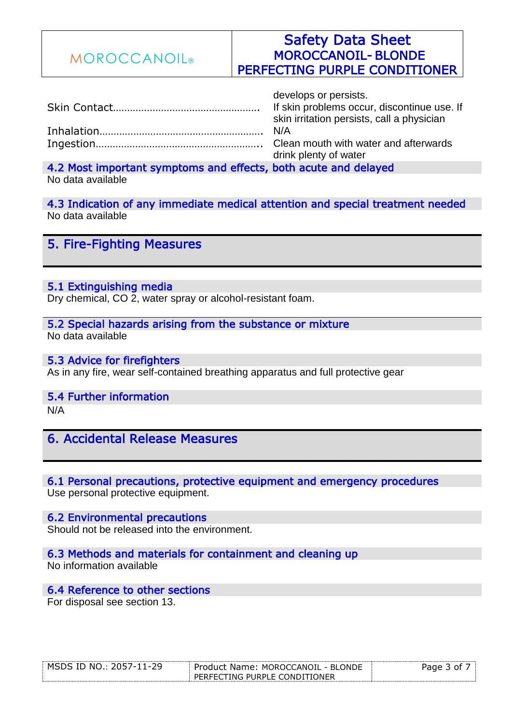| <b>MOROCCANOIL</b> ® | <b>Safety Data Sheet</b><br><b>MOROCCANOIL-BLONDE</b><br>PERFECTING PURPLE CONDITIONER                             |
|----------------------|--------------------------------------------------------------------------------------------------------------------|
|                      | develops or persists.<br>If skin problems occur, discontinue use. If<br>skin irritation persists, call a physician |
|                      | N/A<br>Clean mouth with water and afterwards<br>drink plenty of water                                              |

4.2 Most important symptoms and effects, both acute and delayed No data available

4.3 Indication of any immediate medical attention and special treatment needed No data available

5. Fire-Fighting Measures

#### 5.1 Extinguishing media

Dry chemical, CO 2, water spray or alcohol-resistant foam.

5.2 Special hazards arising from the substance or mixture No data available

5.3 Advice for firefighters As in any fire, wear self-contained breathing apparatus and full protective gear

#### 5.4 Further information

N/A

6. Accidental Release Measures

### 6.1 Personal precautions, protective equipment and emergency procedures

Use personal protective equipment.

6.2 Environmental precautions Should not be released into the environment.

#### 6.3 Methods and materials for containment and cleaning up

No information available

### 6.4 Reference to other sections

For disposal see section 13.

| MSDS ID NO.: 2057-11-29 | Product Name: MOROCCANOIL - BLONDE | 3 of i<br>Page |
|-------------------------|------------------------------------|----------------|
|                         | PERFECTING PURPLE CONDITIONER      |                |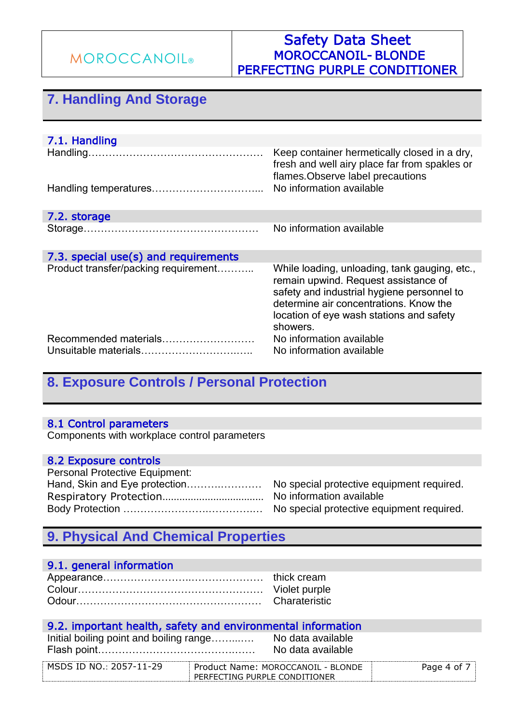### Safety Data Sheet MOROCCANOIL- BLONDE PERFECTING PURPLE CONDITIONER

# **7. Handling And Storage**

| 7.1. Handling                        |                                                                                                                                                                                                                                       |
|--------------------------------------|---------------------------------------------------------------------------------------------------------------------------------------------------------------------------------------------------------------------------------------|
|                                      | Keep container hermetically closed in a dry,<br>fresh and well airy place far from spakles or<br>flames. Observe label precautions<br>No information available                                                                        |
| 7.2. storage                         |                                                                                                                                                                                                                                       |
|                                      | No information available                                                                                                                                                                                                              |
| 7.3. special use(s) and requirements |                                                                                                                                                                                                                                       |
| Product transfer/packing requirement | While loading, unloading, tank gauging, etc.,<br>remain upwind. Request assistance of<br>safety and industrial hygiene personnel to<br>determine air concentrations. Know the<br>location of eye wash stations and safety<br>showers. |
|                                      |                                                                                                                                                                                                                                       |

## **8. Exposure Controls / Personal Protection**

### 8.1 Control parameters

Components with workplace control parameters

#### 8.2 Exposure controls

| <b>Personal Protective Equipment:</b> |                                           |
|---------------------------------------|-------------------------------------------|
| Hand, Skin and Eye protection         | No special protective equipment required. |
|                                       | No information available                  |
|                                       |                                           |

# **9. Physical And Chemical Properties**

### 9.1. general information

#### 9.2. important health, safety and environmental information a available

| Initial boiling point and boiling range | No data available |
|-----------------------------------------|-------------------|
|                                         | No data available |

| $\cap$ NO $\cdot$ 2057-1<br>$1 - 29$<br>MSDS ID | " Name: MOROCCANOIL - BLONDE<br><b>Product</b> |  |
|-------------------------------------------------|------------------------------------------------|--|
|                                                 | TING PURPLE CONDITIONER<br><b>DEDEEC</b>       |  |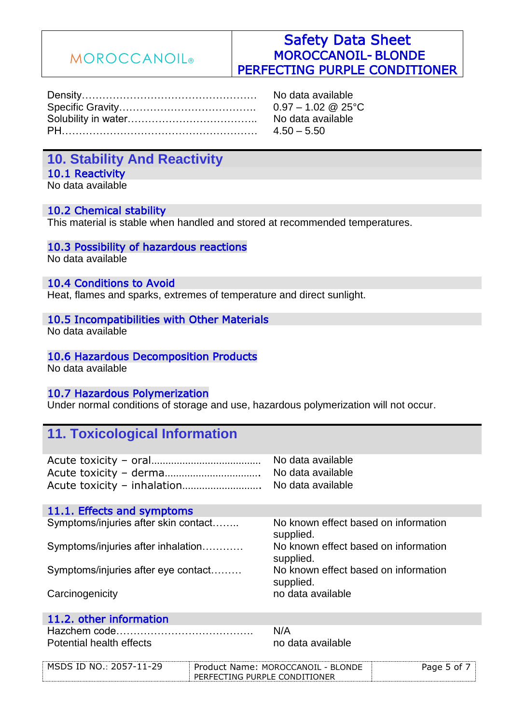### Safety Data Sheet MOROCCANOIL- BLONDE PERFECTING PURPLE CONDITIONER

| No data available             |
|-------------------------------|
| $0.97 - 1.02 \& 25^{\circ}$ C |
| No data available             |
|                               |

### **10. Stability And Reactivity** 10.1 Reactivity

No data available

#### 10.2 Chemical stability

This material is stable when handled and stored at recommended temperatures.

#### 10.3 Possibility of hazardous reactions

No data available

#### 10.4 Conditions to Avoid

Heat, flames and sparks, extremes of temperature and direct sunlight.

#### 10.5 Incompatibilities with Other Materials

No data available

# 10.6 Hazardous Decomposition Products

No data available

### 10.7 Hazardous Polymerization

Under normal conditions of storage and use, hazardous polymerization will not occur.

### **11. Toxicological Information**

| Acute toxicity - inhalation No data available                                                                                                                                                                                      | No data available<br>No data available |  |
|------------------------------------------------------------------------------------------------------------------------------------------------------------------------------------------------------------------------------------|----------------------------------------|--|
| 11.1. Effects and symptoms                                                                                                                                                                                                         |                                        |  |
| $\bullet$ , and the state of the state of the state of the state of the state of the state of the state of the state of the state of the state of the state of the state of the state of the state of the state of the state of th |                                        |  |

| Symptoms/injuries after skin contact | No known effect based on information<br>supplied. |
|--------------------------------------|---------------------------------------------------|
| Symptoms/injuries after inhalation   | No known effect based on information<br>supplied. |
| Symptoms/injuries after eye contact  | No known effect based on information<br>supplied. |
| Carcinogenicity                      | no data available                                 |

### 11.2. other information

Hazchem code…………………………………. N/A Potential health effects no monotonical available

| мς<br>NC.<br>ТГ<br>⊃י<br>$\overline{\phantom{0}}$<br>้ | - BLC.<br>- CANOIL<br>Produc'<br>MOROCO<br>ארומנ<br>Name:                            | -∩^ |
|--------------------------------------------------------|--------------------------------------------------------------------------------------|-----|
|                                                        | TIONER<br>$\mathcal{L}_1$ ing purple $\mathsf{C}\mathsf{C}$<br>דזחוחר<br>$D = D = F$ |     |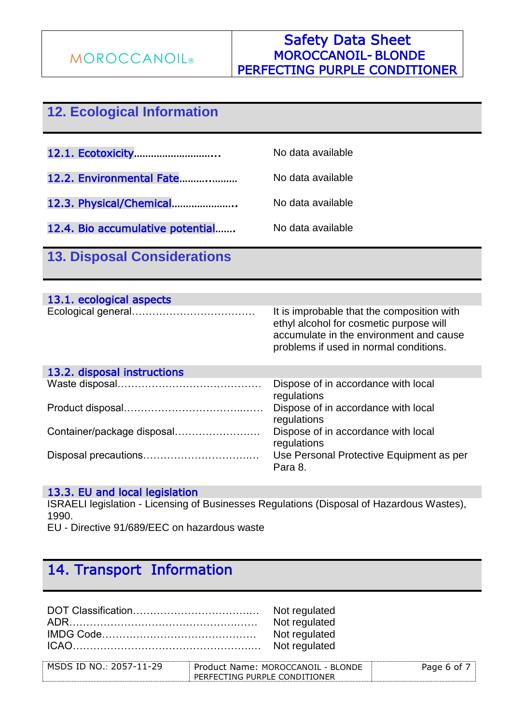# **12. Ecological Information**

12.1. Ecotoxicity………………………... No data available

- 12.2. Environmental Fate………..……… No data available
- 12.3. Physical/Chemical………………….. No data available

12.4. Bio accumulative potential....... No data available

## **13. Disposal Considerations**

| 13.1. ecological aspects |                                                                                                                                                                            |
|--------------------------|----------------------------------------------------------------------------------------------------------------------------------------------------------------------------|
|                          | It is improbable that the composition with<br>ethyl alcohol for cosmetic purpose will<br>accumulate in the environment and cause<br>problems if used in normal conditions. |

| 13.2. disposal instructions |                                                     |
|-----------------------------|-----------------------------------------------------|
|                             | Dispose of in accordance with local<br>regulations  |
|                             | Dispose of in accordance with local<br>regulations  |
| Container/package disposal  | Dispose of in accordance with local<br>regulations  |
|                             | Use Personal Protective Equipment as per<br>Para 8. |

### 13.3. EU and local legislation

ISRAELI legislation - Licensing of Businesses Regulations (Disposal of Hazardous Wastes), 1990.

EU - Directive 91/689/EEC on hazardous waste

# 14. Transport Information

DOT Classification……………………………………… Not regulated ADR………………………………………….…… Not regulated IMDG Code……………………………………… Not regulated ICAO…………………………………………….… Not regulated

| $MSDS$ ID NO.: 2057-1<br>--- | Product Name: MOROCCANOII - BLONDE | ane |
|------------------------------|------------------------------------|-----|
|                              | PERFECTING PURPLE CONDITIONER      |     |